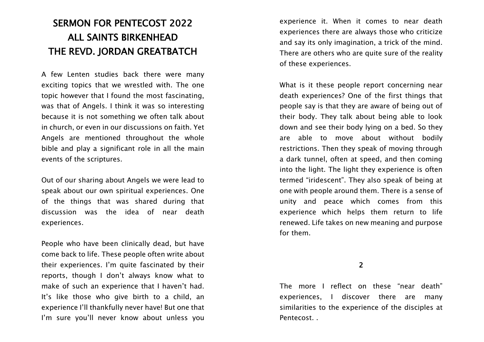# SERMON FOR PENTECOST 2022 ALL SAINTS BIRKENHEAD THE REVD. JORDAN GREATBATCH

A few Lenten studies back there were many exciting topics that we wrestled with. The one topic however that I found the most fascinating, was that of Angels. I think it was so interesting because it is not something we often talk about in church, or even in our discussions on faith. Yet Angels are mentioned throughout the whole bible and play a significant role in all the main events of the scriptures.

Out of our sharing about Angels we were lead to speak about our own spiritual experiences. One of the things that was shared during that discussion was the idea of near death experiences.

People who have been clinically dead, but have come back to life. These people often write about their experiences. I'm quite fascinated by their reports, though I don't always know what to make of such an experience that I haven't had. It's like those who give birth to a child, an experience I'll thankfully never have! But one that I'm sure you'll never know about unless you

experience it. When it comes to near death experiences there are always those who criticize and say its only imagination, a trick of the mind. There are others who are quite sure of the reality of these experiences.

What is it these people report concerning near death experiences? One of the first things that people say is that they are aware of being out of their body. They talk about being able to look down and see their body lying on a bed. So they are able to move about without bodily restrictions. Then they speak of moving through a dark tunnel, often at speed, and then coming into the light. The light they experience is often termed "iridescent". They also speak of being at one with people around them. There is a sense of unity and peace which comes from this experience which helps them return to life renewed. Life takes on new meaning and purpose for them.

2

The more I reflect on these "near death" experiences, I discover there are many similarities to the experience of the disciples at Pentecost. .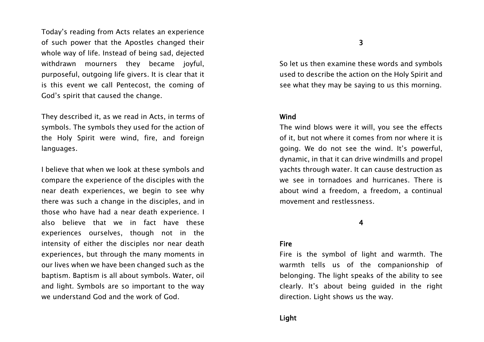Today's reading from Acts relates an experience of such power that the Apostles changed their whole way of life. Instead of being sad, dejected withdrawn mourners they became joyful, purposeful, outgoing life givers. It is clear that it is this event we call Pentecost, the coming of God's spirit that caused the change.

They described it, as we read in Acts, in terms of symbols. The symbols they used for the action of the Holy Spirit were wind, fire, and foreign languages.

I believe that when we look at these symbols and compare the experience of the disciples with the near death experiences, we begin to see why there was such a change in the disciples, and in those who have had a near death experience. I also believe that we in fact have these experiences ourselves, though not in the intensity of either the disciples nor near death experiences, but through the many moments in our lives when we have been changed such as the baptism. Baptism is all about symbols. Water, oil and light. Symbols are so important to the way we understand God and the work of God.

So let us then examine these words and symbols used to describe the action on the Holy Spirit and see what they may be saying to us this morning.

## Wind

The wind blows were it will, you see the effects of it, but not where it comes from nor where it is going. We do not see the wind. It's powerful, dynamic, in that it can drive windmills and propel yachts through water. It can cause destruction as we see in tornadoes and hurricanes. There is about wind a freedom, a freedom, a continual movement and restlessness.

### 4

### Fire

Fire is the symbol of light and warmth. The warmth tells us of the companionship of belonging. The light speaks of the ability to see clearly. It's about being guided in the right direction. Light shows us the way.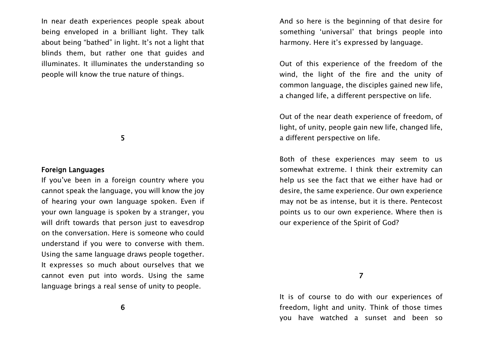In near death experiences people speak about being enveloped in a brilliant light. They talk about being "bathed" in light. It's not a light that blinds them, but rather one that guides and illuminates. It illuminates the understanding so people will know the true nature of things.

5

#### Foreign Languages

If you've been in a foreign country where you cannot speak the language, you will know the joy of hearing your own language spoken. Even if your own language is spoken by a stranger, you will drift towards that person just to eavesdrop on the conversation. Here is someone who could understand if you were to converse with them. Using the same language draws people together. It expresses so much about ourselves that we cannot even put into words. Using the same language brings a real sense of unity to people.

6

And so here is the beginning of that desire for something 'universal' that brings people into harmony. Here it's expressed by language.

Out of this experience of the freedom of the wind, the light of the fire and the unity of common language, the disciples gained new life, a changed life, a different perspective on life.

Out of the near death experience of freedom, of light, of unity, people gain new life, changed life, a different perspective on life.

Both of these experiences may seem to us somewhat extreme. I think their extremity can help us see the fact that we either have had or desire, the same experience. Our own experience may not be as intense, but it is there. Pentecost points us to our own experience. Where then is our experience of the Spirit of God?

7

It is of course to do with our experiences of freedom, light and unity. Think of those times you have watched a sunset and been so